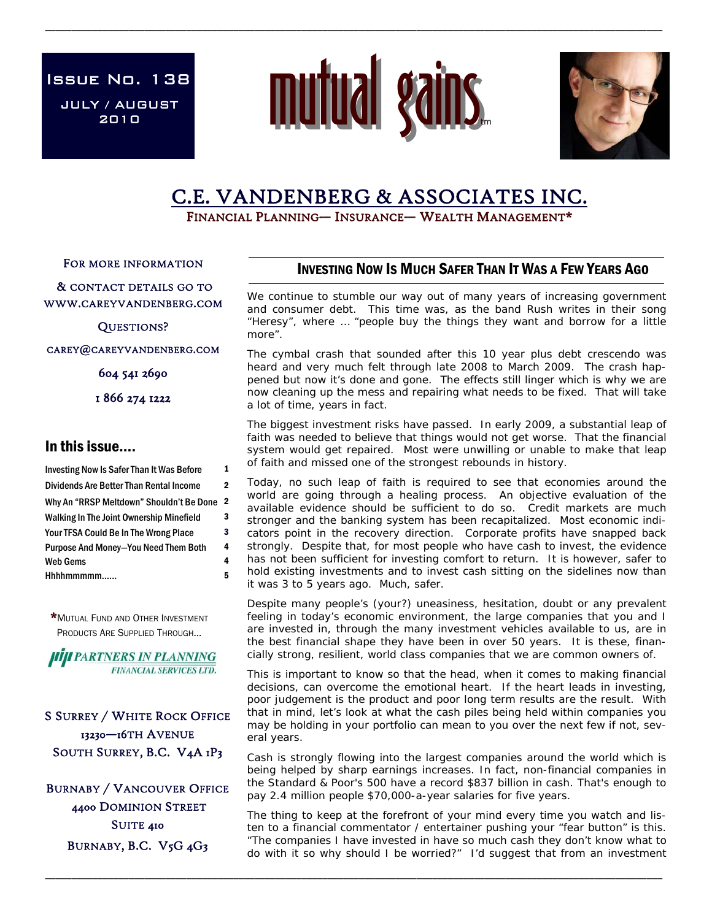JULY / AUGUST 2010 Issue No. 138



\_\_\_\_\_\_\_\_\_\_\_\_\_\_\_\_\_\_\_\_\_\_\_\_\_\_\_\_\_\_\_\_\_\_\_\_\_\_\_\_\_\_\_\_\_\_\_\_\_\_\_\_\_\_\_\_\_\_\_\_\_\_\_\_\_\_\_\_\_\_\_\_\_\_\_\_\_\_\_\_\_\_\_\_\_\_\_\_\_\_\_\_\_\_\_\_\_\_\_\_\_\_\_\_\_\_\_\_\_\_\_\_\_\_\_\_\_\_



# C.E. VANDENBERG & ASSOCIATES INC.<br>FINANCIAL PLANNING— INSURANCE— WEALTH MANAGEMENT\*

FOR MORE INFORMATION

 & CONTACT DETAILS GO TO WWW.CAREYVANDENBERG.COM

QUESTIONS?

CAREY@CAREYVANDENBERG.COM

604 541 2690

1 866 274 1222

## In this issue….

Investing Now Is Safer Than It Was Before 1 Dividends Are Better Than Rental Income 2 Why An "RRSP Meltdown" Shouldn't Be Done 2 Walking In The Joint Ownership Minefield 3 Hhhhmmmmm…... 5 Your TFSA Could Be In The Wrong Place 3 Web Gems 4 Purpose And Money—You Need Them Both 4

\*MUTUAL FUND AND OTHER INVESTMENT PRODUCTS ARE SUPPLIED THROUGH...

**HIJI PARTNERS IN PLANNING FINANCIAL SERVICES LTD.** 

S SURREY / WHITE ROCK OFFICE 13230—16TH AVENUE SOUTH SURREY, B.C. V4A 1P3

BURNABY / VANCOUVER OFFICE 4400 DOMINION STREET SUITE 410 BURNABY, B.C. V5G 4G3

# INVESTING NOW IS MUCH SAFER THAN IT WAS A FEW YEARS AGO

We continue to stumble our way out of many years of increasing government and consumer debt. This time was, as the band Rush writes in their song "Heresy", where … "people buy the things they want and borrow for a little more".

The cymbal crash that sounded after this 10 year plus debt crescendo was heard and very much felt through late 2008 to March 2009. The crash happened but now it's done and gone. The effects still linger which is why we are now cleaning up the mess and repairing what needs to be fixed. That will take a lot of time, years in fact.

The biggest investment risks have passed. In early 2009, a substantial leap of faith was needed to believe that things would not get worse. That the financial system would get repaired. Most were unwilling or unable to make that leap of faith and missed one of the strongest rebounds in history.

Today, no such leap of faith is required to see that economies around the world are going through a healing process. An objective evaluation of the available evidence should be sufficient to do so. Credit markets are much stronger and the banking system has been recapitalized. Most economic indicators point in the recovery direction. Corporate profits have snapped back strongly. Despite that, for most people who have cash to invest, the evidence has not been sufficient for investing comfort to return. It is however, safer to hold existing investments and to invest cash sitting on the sidelines now than it was 3 to 5 years ago. Much, safer.

Despite many people's (your?) uneasiness, hesitation, doubt or any prevalent feeling in today's economic environment, the large companies that you and I are invested in, through the many investment vehicles available to us, are in the best financial shape they have been in over 50 years. It is these, financially strong, resilient, world class companies that we are common owners of.

This is important to know so that the head, when it comes to making financial decisions, can overcome the emotional heart. If the heart leads in investing, poor judgement is the product and poor long term results are the result. With that in mind, let's look at what the cash piles being held within companies you may be holding in your portfolio can mean to you over the next few if not, several years.

Cash is strongly flowing into the largest companies around the world which is being helped by sharp earnings increases. In fact, non-financial companies in the Standard & Poor's 500 have a record \$837 billion in cash. That's enough to pay 2.4 million people \$70,000-a-year salaries for five years.

The thing to keep at the forefront of your mind every time you watch and listen to a financial commentator / entertainer pushing your "fear button" is this. "The companies I have invested in have so much cash they don't know what to do with it so why should I be worried?" I'd suggest that from an investment

\_\_\_\_\_\_\_\_\_\_\_\_\_\_\_\_\_\_\_\_\_\_\_\_\_\_\_\_\_\_\_\_\_\_\_\_\_\_\_\_\_\_\_\_\_\_\_\_\_\_\_\_\_\_\_\_\_\_\_\_\_\_\_\_\_\_\_\_\_\_\_\_\_\_\_\_\_\_\_\_\_\_\_\_\_\_\_\_\_\_\_\_\_\_\_\_\_\_\_\_\_\_\_\_\_\_\_\_\_\_\_\_\_\_\_\_\_\_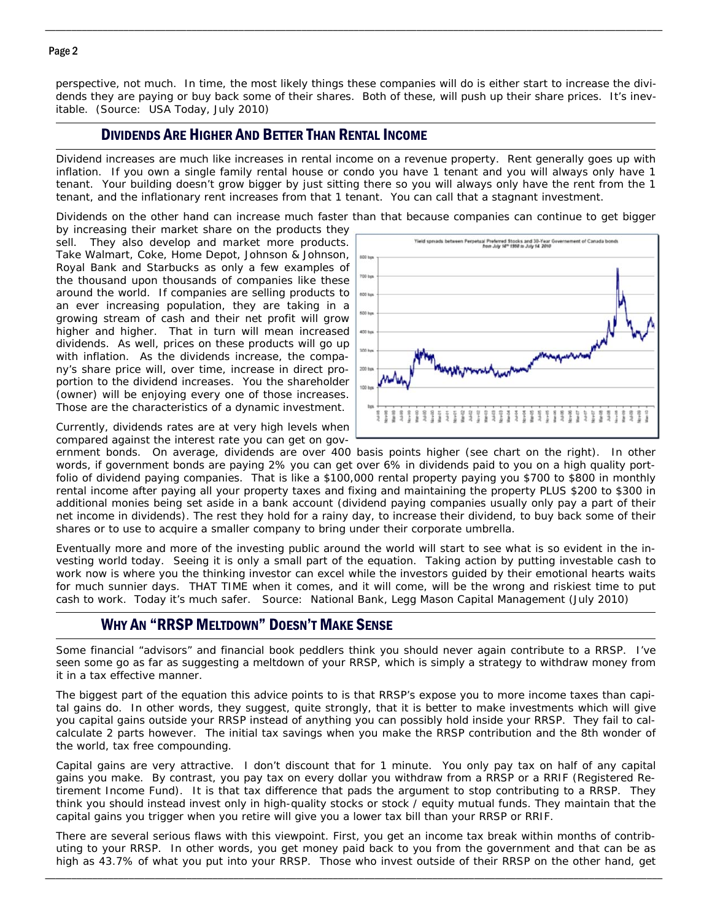### Page 2

perspective, not much. In time, the most likely things these companies will do is either start to increase the dividends they are paying or buy back some of their shares. Both of these, will push up their share prices. It's inevitable. (Source: USA Today, July 2010)

\_\_\_\_\_\_\_\_\_\_\_\_\_\_\_\_\_\_\_\_\_\_\_\_\_\_\_\_\_\_\_\_\_\_\_\_\_\_\_\_\_\_\_\_\_\_\_\_\_\_\_\_\_\_\_\_\_\_\_\_\_\_\_\_\_\_\_\_\_\_\_\_\_\_\_\_\_\_\_\_\_\_\_\_\_\_\_\_\_\_\_\_\_\_\_\_\_\_\_\_\_\_\_\_\_\_\_\_\_\_\_\_\_\_\_\_\_\_

## DIVIDENDS ARE HIGHER AND BETTER THAN RENTAL INCOME

Dividend increases are much like increases in rental income on a revenue property. Rent generally goes up with inflation. If you own a single family rental house or condo you have 1 tenant and you will always only have 1 tenant. Your building doesn't grow bigger by just sitting there so you will always only have the rent from the 1 tenant, and the inflationary rent increases from that 1 tenant. You can call that a stagnant investment.

Dividends on the other hand can increase much faster than that because companies can continue to get bigger

by increasing their market share on the products they sell. They also develop and market more products. Take Walmart, Coke, Home Depot, Johnson & Johnson, Royal Bank and Starbucks as only a few examples of the thousand upon thousands of companies like these around the world. If companies are selling products to an ever increasing population, they are taking in a growing stream of cash and their net profit will grow higher and higher. That in turn will mean increased dividends. As well, prices on these products will go up with inflation. As the dividends increase, the company's share price will, over time, increase in direct proportion to the dividend increases. You the shareholder (owner) will be enjoying every one of those increases. Those are the characteristics of a dynamic investment.

Currently, dividends rates are at very high levels when compared against the interest rate you can get on gov-



ernment bonds. On average, dividends are over 400 basis points higher (see chart on the right). In other words, if government bonds are paying 2% you can get over 6% in dividends paid to you on a high quality portfolio of dividend paying companies. That is like a \$100,000 rental property paying you \$700 to \$800 in monthly rental income after paying all your property taxes and fixing and maintaining the property PLUS \$200 to \$300 in additional monies being set aside in a bank account (dividend paying companies usually only pay a part of their net income in dividends). The rest they hold for a rainy day, to increase their dividend, to buy back some of their shares or to use to acquire a smaller company to bring under their corporate umbrella.

Eventually more and more of the investing public around the world will start to see what is so evident in the investing world today. Seeing it is only a small part of the equation. Taking action by putting investable cash to work now is where you the thinking investor can excel while the investors guided by their emotional hearts waits for much sunnier days. THAT TIME when it comes, and it will come, will be the wrong and riskiest time to put cash to work. Today it's much safer. Source: National Bank, Legg Mason Capital Management (July 2010)

# WHY AN "RRSP MELTDOWN" DOESN'T MAKE SENSE

Some financial "advisors" and financial book peddlers think you should never again contribute to a RRSP. I've seen some go as far as suggesting a meltdown of your RRSP, which is simply a strategy to withdraw money from it in a tax effective manner.

The biggest part of the equation this advice points to is that RRSP's expose you to more income taxes than capital gains do. In other words, they suggest, quite strongly, that it is better to make investments which will give you capital gains outside your RRSP instead of anything you can possibly hold inside your RRSP. They fail to calcalculate 2 parts however. The initial tax savings when you make the RRSP contribution and the 8th wonder of the world, tax free compounding.

Capital gains are very attractive. I don't discount that for 1 minute. You only pay tax on half of any capital gains you make. By contrast, you pay tax on every dollar you withdraw from a RRSP or a RRIF (Registered Retirement Income Fund). It is that tax difference that pads the argument to stop contributing to a RRSP. They think you should instead invest only in high-quality stocks or stock / equity mutual funds. They maintain that the capital gains you trigger when you retire will give you a lower tax bill than your RRSP or RRIF.

There are several serious flaws with this viewpoint. First, you get an income tax break within months of contributing to your RRSP. In other words, you get money paid back to you from the government and that can be as high as 43.7% of what you put into your RRSP. Those who invest outside of their RRSP on the other hand, get

\_\_\_\_\_\_\_\_\_\_\_\_\_\_\_\_\_\_\_\_\_\_\_\_\_\_\_\_\_\_\_\_\_\_\_\_\_\_\_\_\_\_\_\_\_\_\_\_\_\_\_\_\_\_\_\_\_\_\_\_\_\_\_\_\_\_\_\_\_\_\_\_\_\_\_\_\_\_\_\_\_\_\_\_\_\_\_\_\_\_\_\_\_\_\_\_\_\_\_\_\_\_\_\_\_\_\_\_\_\_\_\_\_\_\_\_\_\_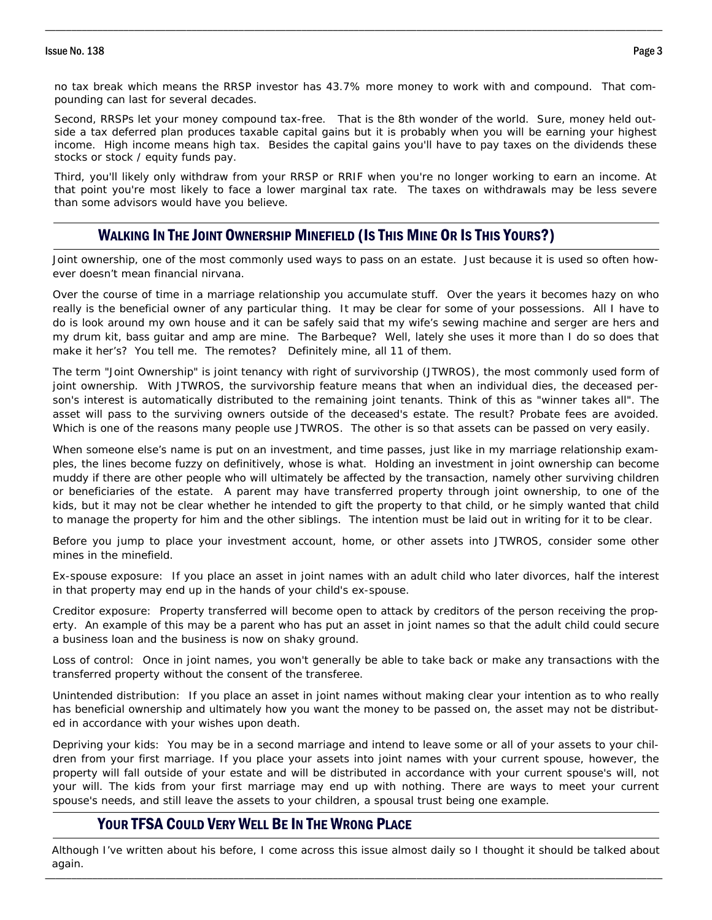#### Issue No. 138 Page 3

no tax break which means the RRSP investor has 43.7% more money to work with and compound. That compounding can last for several decades.

\_\_\_\_\_\_\_\_\_\_\_\_\_\_\_\_\_\_\_\_\_\_\_\_\_\_\_\_\_\_\_\_\_\_\_\_\_\_\_\_\_\_\_\_\_\_\_\_\_\_\_\_\_\_\_\_\_\_\_\_\_\_\_\_\_\_\_\_\_\_\_\_\_\_\_\_\_\_\_\_\_\_\_\_\_\_\_\_\_\_\_\_\_\_\_\_\_\_\_\_\_\_\_\_\_\_\_\_\_\_\_\_\_\_\_\_\_\_

Second, RRSPs let your money compound tax-free. That is the 8th wonder of the world. Sure, money held outside a tax deferred plan produces taxable capital gains but it is probably when you will be earning your highest income. High income means high tax. Besides the capital gains you'll have to pay taxes on the dividends these stocks or stock / equity funds pay.

Third, you'll likely only withdraw from your RRSP or RRIF when you're no longer working to earn an income. At that point you're most likely to face a lower marginal tax rate. The taxes on withdrawals may be less severe than some advisors would have you believe.

# WALKING IN THE JOINT OWNERSHIP MINEFIELD (IS THIS MINE OR IS THIS YOURS?)

Joint ownership, one of the most commonly used ways to pass on an estate. Just because it is used so often however doesn't mean financial nirvana.

Over the course of time in a marriage relationship you accumulate stuff. Over the years it becomes hazy on who really is the beneficial owner of any particular thing. It may be clear for some of your possessions. All I have to do is look around my own house and it can be safely said that my wife's sewing machine and serger are hers and my drum kit, bass guitar and amp are mine. The Barbeque? Well, lately she uses it more than I do so does that make it her's? You tell me. The remotes? Definitely mine, all 11 of them.

The term "Joint Ownership" is joint tenancy with right of survivorship (JTWROS), the most commonly used form of joint ownership. With JTWROS, the survivorship feature means that when an individual dies, the deceased person's interest is automatically distributed to the remaining joint tenants. Think of this as "winner takes all". The asset will pass to the surviving owners outside of the deceased's estate. The result? Probate fees are avoided. Which is one of the reasons many people use JTWROS. The other is so that assets can be passed on very easily.

When someone else's name is put on an investment, and time passes, just like in my marriage relationship examples, the lines become fuzzy on definitively, whose is what. Holding an investment in joint ownership can become muddy if there are other people who will ultimately be affected by the transaction, namely other surviving children or beneficiaries of the estate. A parent may have transferred property through joint ownership, to one of the kids, but it may not be clear whether he intended to gift the property to that child, or he simply wanted that child to manage the property for him and the other siblings. The intention must be laid out in writing for it to be clear.

Before you jump to place your investment account, home, or other assets into JTWROS, consider some other mines in the minefield.

Ex-spouse exposure: If you place an asset in joint names with an adult child who later divorces, half the interest in that property may end up in the hands of your child's ex-spouse.

Creditor exposure: Property transferred will become open to attack by creditors of the person receiving the property. An example of this may be a parent who has put an asset in joint names so that the adult child could secure a business loan and the business is now on shaky ground.

Loss of control: Once in joint names, you won't generally be able to take back or make any transactions with the transferred property without the consent of the transferee.

Unintended distribution: If you place an asset in joint names without making clear your intention as to who really has beneficial ownership and ultimately how you want the money to be passed on, the asset may not be distributed in accordance with your wishes upon death.

Depriving your kids: You may be in a second marriage and intend to leave some or all of your assets to your children from your first marriage. If you place your assets into joint names with your current spouse, however, the property will fall outside of your estate and will be distributed in accordance with your current spouse's will, not your will. The kids from your first marriage may end up with nothing. There are ways to meet your current spouse's needs, and still leave the assets to your children, a spousal trust being one example.

# YOUR TFSA COULD VERY WELL BE IN THE WRONG PLACE

\_\_\_\_\_\_\_\_\_\_\_\_\_\_\_\_\_\_\_\_\_\_\_\_\_\_\_\_\_\_\_\_\_\_\_\_\_\_\_\_\_\_\_\_\_\_\_\_\_\_\_\_\_\_\_\_\_\_\_\_\_\_\_\_\_\_\_\_\_\_\_\_\_\_\_\_\_\_\_\_\_\_\_\_\_\_\_\_\_\_\_\_\_\_\_\_\_\_\_\_\_\_\_\_\_\_\_\_\_\_\_\_\_\_\_\_\_\_ Although I've written about his before, I come across this issue almost daily so I thought it should be talked about again.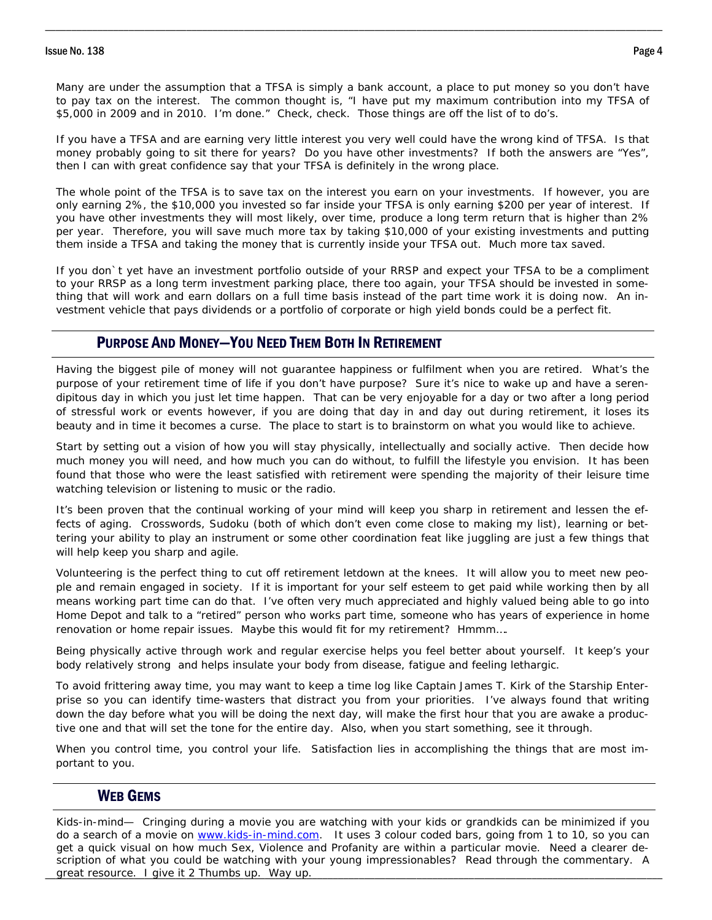#### Issue No. 138 Page 4

Many are under the assumption that a TFSA is simply a bank account, a place to put money so you don't have to pay tax on the interest. The common thought is, "I have put my maximum contribution into my TFSA of \$5,000 in 2009 and in 2010. I'm done." Check, check. Those things are off the list of to do's.

\_\_\_\_\_\_\_\_\_\_\_\_\_\_\_\_\_\_\_\_\_\_\_\_\_\_\_\_\_\_\_\_\_\_\_\_\_\_\_\_\_\_\_\_\_\_\_\_\_\_\_\_\_\_\_\_\_\_\_\_\_\_\_\_\_\_\_\_\_\_\_\_\_\_\_\_\_\_\_\_\_\_\_\_\_\_\_\_\_\_\_\_\_\_\_\_\_\_\_\_\_\_\_\_\_\_\_\_\_\_\_\_\_\_\_\_\_\_

If you have a TFSA and are earning very little interest you very well could have the wrong kind of TFSA. Is that money probably going to sit there for years? Do you have other investments? If both the answers are "Yes", then I can with great confidence say that your TFSA is definitely in the wrong place.

The whole point of the TFSA is to save tax on the interest you earn on your investments. If however, you are only earning 2%, the \$10,000 you invested so far inside your TFSA is only earning \$200 per year of interest. If you have other investments they will most likely, over time, produce a long term return that is higher than 2% per year. Therefore, you will save much more tax by taking \$10,000 of your existing investments and putting them inside a TFSA and taking the money that is currently inside your TFSA out. Much more tax saved.

If you don`t yet have an investment portfolio outside of your RRSP and expect your TFSA to be a compliment to your RRSP as a long term investment parking place, there too again, your TFSA should be invested in something that will work and earn dollars on a full time basis instead of the part time work it is doing now. An investment vehicle that pays dividends or a portfolio of corporate or high yield bonds could be a perfect fit.

# PURPOSE AND MONEY—YOU NEED THEM BOTH IN RETIREMENT

Having the biggest pile of money will not guarantee happiness or fulfilment when you are retired. What's the purpose of your retirement time of life if you don't have purpose? Sure it's nice to wake up and have a serendipitous day in which you just let time happen. That can be very enjoyable for a day or two after a long period of stressful work or events however, if you are doing that day in and day out during retirement, it loses its beauty and in time it becomes a curse. The place to start is to brainstorm on what you would like to achieve.

Start by setting out a vision of how you will stay physically, intellectually and socially active. Then decide how much money you will need, and how much you can do without, to fulfill the lifestyle you envision. It has been found that those who were the least satisfied with retirement were spending the majority of their leisure time watching television or listening to music or the radio.

It's been proven that the continual working of your mind will keep you sharp in retirement and lessen the effects of aging. Crosswords, Sudoku (both of which don't even come close to making my list), learning or bettering your ability to play an instrument or some other coordination feat like juggling are just a few things that will help keep you sharp and agile.

Volunteering is the perfect thing to cut off retirement letdown at the knees. It will allow you to meet new people and remain engaged in society. If it is important for your self esteem to get paid while working then by all means working part time can do that. I've often very much appreciated and highly valued being able to go into Home Depot and talk to a "retired" person who works part time, someone who has years of experience in home renovation or home repair issues. Maybe this would fit for my retirement? Hmmm….

Being physically active through work and regular exercise helps you feel better about yourself. It keep's your body relatively strong and helps insulate your body from disease, fatigue and feeling lethargic.

To avoid frittering away time, you may want to keep a time log like Captain James T. Kirk of the Starship Enterprise so you can identify time-wasters that distract you from your priorities. I've always found that writing down the day before what you will be doing the next day, will make the first hour that you are awake a productive one and that will set the tone for the entire day. Also, when you start something, see it through.

When you control time, you control your life. Satisfaction lies in accomplishing the things that are most important to you.

## WEB GEMS

\_\_\_\_\_\_\_\_\_\_\_\_\_\_\_\_\_\_\_\_\_\_\_\_\_\_\_\_\_\_\_\_\_\_\_\_\_\_\_\_\_\_\_\_\_\_\_\_\_\_\_\_\_\_\_\_\_\_\_\_\_\_\_\_\_\_\_\_\_\_\_\_\_\_\_\_\_\_\_\_\_\_\_\_\_\_\_\_\_\_\_\_\_\_\_\_\_\_\_\_\_\_\_\_\_\_\_\_\_\_\_\_\_\_\_\_\_\_ great resource. I give it 2 Thumbs up. Way up. Kids-in-mind— Cringing during a movie you are watching with your kids or grandkids can be minimized if you do a search of a movie on www.kids-in-mind.com. It uses 3 colour coded bars, going from 1 to 10, so you can get a quick visual on how much Sex, Violence and Profanity are within a particular movie. Need a clearer description of what you could be watching with your young impressionables? Read through the commentary. A